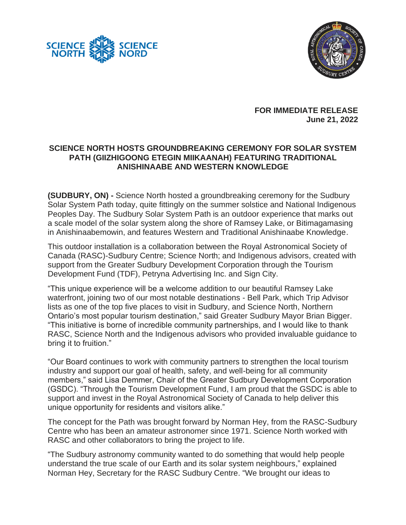



**FOR IMMEDIATE RELEASE June 21, 2022**

## **SCIENCE NORTH HOSTS GROUNDBREAKING CEREMONY FOR SOLAR SYSTEM PATH (GIIZHIGOONG ETEGIN MIIKAANAH) FEATURING TRADITIONAL ANISHINAABE AND WESTERN KNOWLEDGE**

**(SUDBURY, ON) -** Science North hosted a groundbreaking ceremony for the Sudbury Solar System Path today, quite fittingly on the summer solstice and National Indigenous Peoples Day. The Sudbury Solar System Path is an outdoor experience that marks out a scale model of the solar system along the shore of Ramsey Lake, or Bitimagamasing in Anishinaabemowin, and features Western and Traditional Anishinaabe Knowledge.

This outdoor installation is a collaboration between the Royal Astronomical Society of Canada (RASC)-Sudbury Centre; Science North; and Indigenous advisors, created with support from the Greater Sudbury Development Corporation through the Tourism Development Fund (TDF), Petryna Advertising Inc. and Sign City.

"This unique experience will be a welcome addition to our beautiful Ramsey Lake waterfront, joining two of our most notable destinations - Bell Park, which Trip Advisor lists as one of the top five places to visit in Sudbury, and Science North, Northern Ontario's most popular tourism destination," said Greater Sudbury Mayor Brian Bigger. "This initiative is borne of incredible community partnerships, and I would like to thank RASC, Science North and the Indigenous advisors who provided invaluable guidance to bring it to fruition."

"Our Board continues to work with community partners to strengthen the local tourism industry and support our goal of health, safety, and well-being for all community members," said Lisa Demmer, Chair of the Greater Sudbury Development Corporation (GSDC). "Through the Tourism Development Fund, I am proud that the GSDC is able to support and invest in the Royal Astronomical Society of Canada to help deliver this unique opportunity for residents and visitors alike."

The concept for the Path was brought forward by Norman Hey, from the RASC-Sudbury Centre who has been an amateur astronomer since 1971. Science North worked with RASC and other collaborators to bring the project to life.

"The Sudbury astronomy community wanted to do something that would help people understand the true scale of our Earth and its solar system neighbours," explained Norman Hey, Secretary for the RASC Sudbury Centre. "We brought our ideas to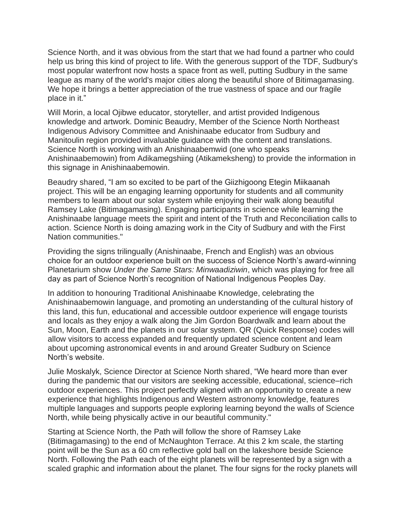Science North, and it was obvious from the start that we had found a partner who could help us bring this kind of project to life. With the generous support of the TDF, Sudbury's most popular waterfront now hosts a space front as well, putting Sudbury in the same league as many of the world's major cities along the beautiful shore of Bitimagamasing. We hope it brings a better appreciation of the true vastness of space and our fragile place in it."

Will Morin, a local Ojibwe educator, storyteller, and artist provided Indigenous knowledge and artwork. Dominic Beaudry, Member of the Science North Northeast Indigenous Advisory Committee and Anishinaabe educator from Sudbury and Manitoulin region provided invaluable guidance with the content and translations. Science North is working with an Anishinaabemwid (one who speaks Anishinaabemowin) from Adikamegshiing (Atikameksheng) to provide the information in this signage in Anishinaabemowin.

Beaudry shared, "I am so excited to be part of the Giizhigoong Etegin Miikaanah project. This will be an engaging learning opportunity for students and all community members to learn about our solar system while enjoying their walk along beautiful Ramsey Lake (Bitimagamasing). Engaging participants in science while learning the Anishinaabe language meets the spirit and intent of the Truth and Reconciliation calls to action. Science North is doing amazing work in the City of Sudbury and with the First Nation communities."

Providing the signs trilingually (Anishinaabe, French and English) was an obvious choice for an outdoor experience built on the success of Science North's award-winning Planetarium show *Under the Same Stars: Minwaadiziwin*, which was playing for free all day as part of Science North's recognition of National Indigenous Peoples Day.

In addition to honouring Traditional Anishinaabe Knowledge, celebrating the Anishinaabemowin language, and promoting an understanding of the cultural history of this land, this fun, educational and accessible outdoor experience will engage tourists and locals as they enjoy a walk along the Jim Gordon Boardwalk and learn about the Sun, Moon, Earth and the planets in our solar system. QR (Quick Response) codes will allow visitors to access expanded and frequently updated science content and learn about upcoming astronomical events in and around Greater Sudbury on Science North's website.

Julie Moskalyk, Science Director at Science North shared, "We heard more than ever during the pandemic that our visitors are seeking accessible, educational, science–rich outdoor experiences. This project perfectly aligned with an opportunity to create a new experience that highlights Indigenous and Western astronomy knowledge, features multiple languages and supports people exploring learning beyond the walls of Science North, while being physically active in our beautiful community."

Starting at Science North, the Path will follow the shore of Ramsey Lake (Bitimagamasing) to the end of McNaughton Terrace. At this 2 km scale, the starting point will be the Sun as a 60 cm reflective gold ball on the lakeshore beside Science North. Following the Path each of the eight planets will be represented by a sign with a scaled graphic and information about the planet. The four signs for the rocky planets will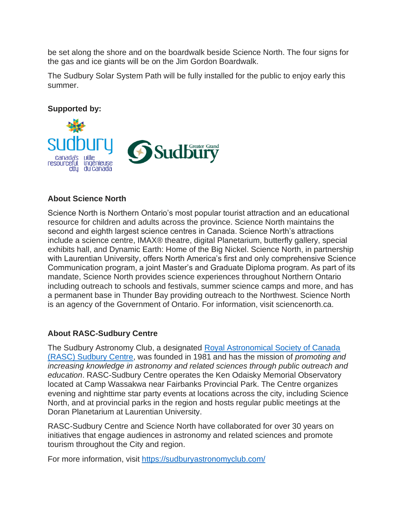be set along the shore and on the boardwalk beside Science North. The four signs for the gas and ice giants will be on the Jim Gordon Boardwalk.

The Sudbury Solar System Path will be fully installed for the public to enjoy early this summer.

**Supported by:**



## **About Science North**

Science North is Northern Ontario's most popular tourist attraction and an educational resource for children and adults across the province. Science North maintains the second and eighth largest science centres in Canada. Science North's attractions include a science centre, IMAX® theatre, digital Planetarium, butterfly gallery, special exhibits hall, and Dynamic Earth: Home of the Big Nickel. Science North, in partnership with Laurentian University, offers North America's first and only comprehensive Science Communication program, a joint Master's and Graduate Diploma program. As part of its mandate, Science North provides science experiences throughout Northern Ontario including outreach to schools and festivals, summer science camps and more, and has a permanent base in Thunder Bay providing outreach to the Northwest. Science North is an agency of the Government of Ontario. For information, visit sciencenorth.ca.

## **About RASC-Sudbury Centre**

The Sudbury Astronomy Club, a designated [Royal Astronomical Society of Canada](https://sudburyastronomyclub.com/)  [\(RASC\) Sudbury Centre,](https://sudburyastronomyclub.com/) was founded in 1981 and has the mission of *promoting and increasing knowledge in astronomy and related sciences through public outreach and education*. RASC-Sudbury Centre operates the Ken Odaisky Memorial Observatory located at Camp Wassakwa near Fairbanks Provincial Park. The Centre organizes evening and nighttime star party events at locations across the city, including Science North, and at provincial parks in the region and hosts regular public meetings at the Doran Planetarium at Laurentian University.

RASC-Sudbury Centre and Science North have collaborated for over 30 years on initiatives that engage audiences in astronomy and related sciences and promote tourism throughout the City and region.

For more information, visit<https://sudburyastronomyclub.com/>